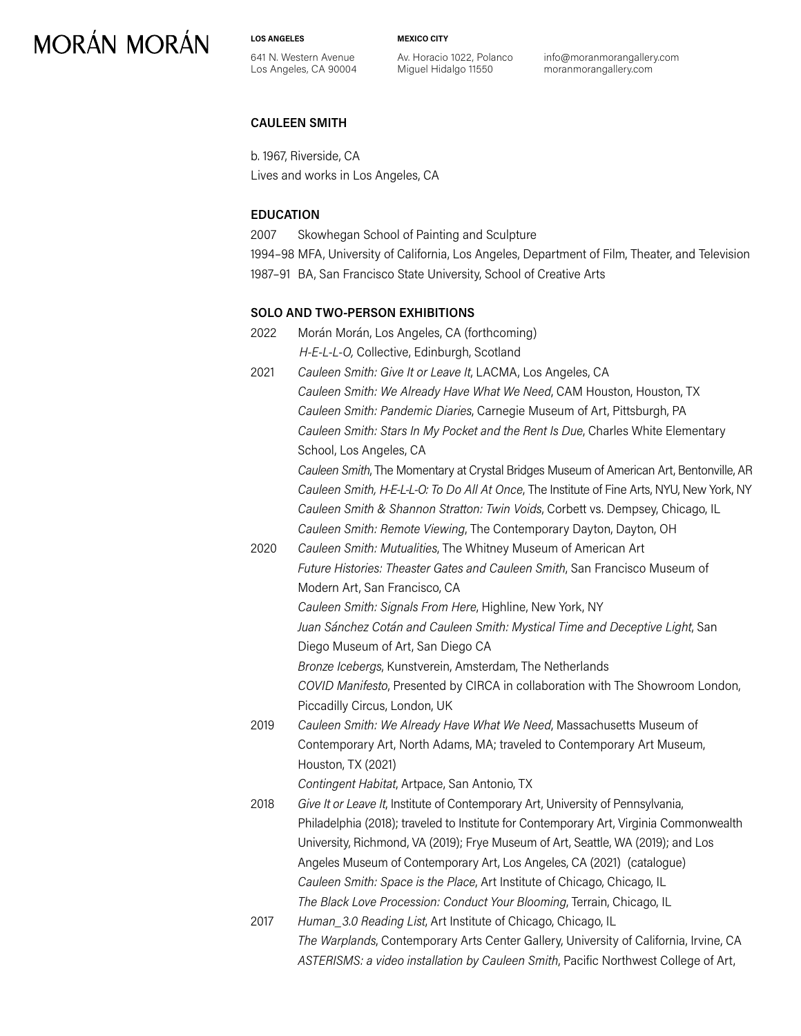**LOS ANGELES**

641 N. Western Avenue Los Angeles, CA 90004 **MEXICO CITY**

Av. Horacio 1022, Polanco Miguel Hidalgo 11550

info@moranmorangallery.com moranmorangallery.com

#### **CAULEEN SMITH**

b. 1967, Riverside, CA Lives and works in Los Angeles, CA

#### **EDUCATION**

2007 Skowhegan School of Painting and Sculpture

1994–98 MFA, University of California, Los Angeles, Department of Film, Theater, and Television 1987–91 BA, San Francisco State University, School of Creative Arts

#### **SOLO AND TWO-PERSON EXHIBITIONS**

- 2022 Morán Morán, Los Angeles, CA (forthcoming) *H-E-L-L-O,* Collective, Edinburgh, Scotland 2021 *Cauleen Smith: Give It or Leave It*, LACMA, Los Angeles, CA
- *Cauleen Smith: We Already Have What We Need*, CAM Houston, Houston, TX *Cauleen Smith: Pandemic Diaries*, Carnegie Museum of Art, Pittsburgh, PA *Cauleen Smith: Stars In My Pocket and the Rent Is Due*, Charles White Elementary School, Los Angeles, CA

*Cauleen Smith*, The Momentary at Crystal Bridges Museum of American Art, Bentonville, AR *Cauleen Smith, H-E-L-L-O: To Do All At Once*, The Institute of Fine Arts, NYU, New York, NY *Cauleen Smith & Shannon Stratton: Twin Voids*, Corbett vs. Dempsey, Chicago, IL *Cauleen Smith: Remote Viewing*, The Contemporary Dayton, Dayton, OH

2020 *Cauleen Smith: Mutualities*, The Whitney Museum of American Art *Future Histories: Theaster Gates and Cauleen Smith*, San Francisco Museum of Modern Art, San Francisco, CA *Cauleen Smith: Signals From Here*, Highline, New York, NY *Juan Sánchez Cotán and Cauleen Smith: Mystical Time and Deceptive Light*, San Diego Museum of Art, San Diego CA *Bronze Icebergs*, Kunstverein, Amsterdam, The Netherlands

*COVID Manifesto*, Presented by CIRCA in collaboration with The Showroom London, Piccadilly Circus, London, UK

2019 *Cauleen Smith: We Already Have What We Need*, Massachusetts Museum of Contemporary Art, North Adams, MA; traveled to Contemporary Art Museum, Houston, TX (2021)

*Contingent Habitat*, Artpace, San Antonio, TX

2018 *Give It or Leave It*, Institute of Contemporary Art, University of Pennsylvania, Philadelphia (2018); traveled to Institute for Contemporary Art, Virginia Commonwealth University, Richmond, VA (2019); Frye Museum of Art, Seattle, WA (2019); and Los Angeles Museum of Contemporary Art, Los Angeles, CA (2021) (catalogue) *Cauleen Smith: Space is the Place*, Art Institute of Chicago, Chicago, IL *The Black Love Procession: Conduct Your Blooming*, Terrain, Chicago, IL

2017 *Human\_3.0 Reading List*, Art Institute of Chicago, Chicago, IL *The Warplands*, Contemporary Arts Center Gallery, University of California, Irvine, CA *ASTERISMS: a video installation by Cauleen Smith*, Pacific Northwest College of Art,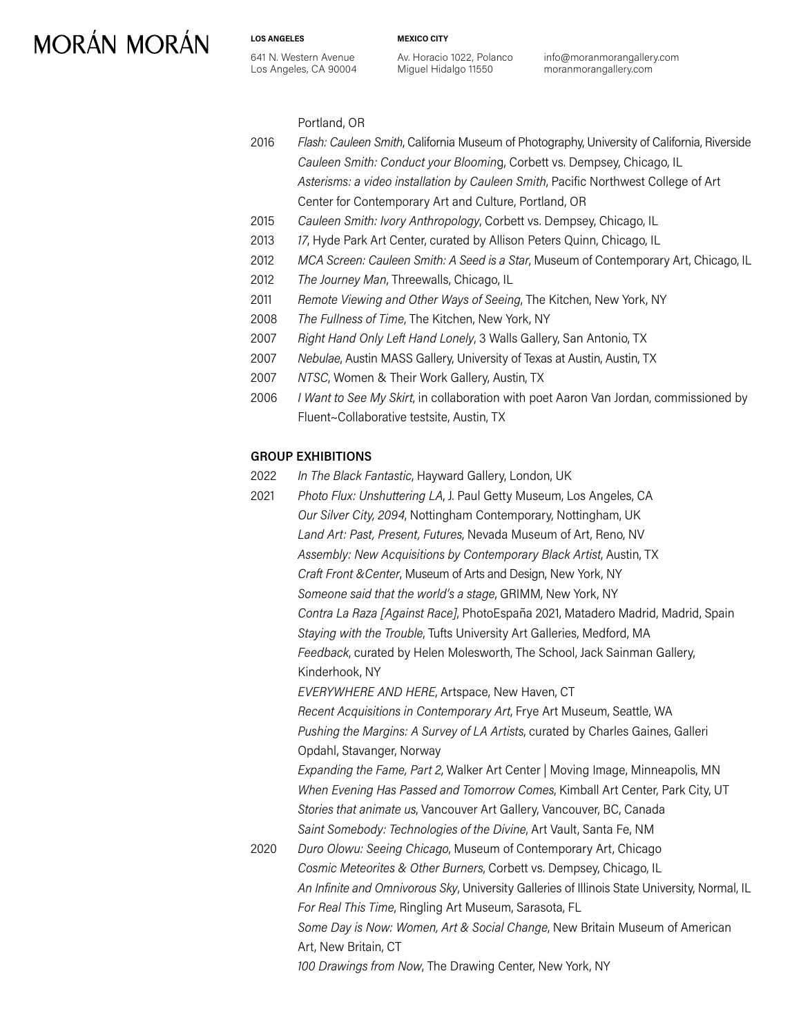641 N. Western Avenue Los Angeles, CA 90004

**LOS ANGELES**

Av. Horacio 1022, Polanco Miguel Hidalgo 11550

**MEXICO CITY**

info@moranmorangallery.com moranmorangallery.com

Portland, OR

- 2016 *Flash: Cauleen Smith*, California Museum of Photography, University of California, Riverside *Cauleen Smith: Conduct your Bloomin*g, Corbett vs. Dempsey, Chicago, IL *Asterisms: a video installation by Cauleen Smith*, Pacific Northwest College of Art Center for Contemporary Art and Culture, Portland, OR
- 2015 *Cauleen Smith: Ivory Anthropology*, Corbett vs. Dempsey, Chicago, IL
- 2013 *17*, Hyde Park Art Center, curated by Allison Peters Quinn, Chicago, IL
- 2012 *MCA Screen: Cauleen Smith: A Seed is a Star*, Museum of Contemporary Art, Chicago, IL
- 2012 *The Journey Man*, Threewalls, Chicago, IL
- 2011 *Remote Viewing and Other Ways of Seeing*, The Kitchen, New York, NY
- 2008 *The Fullness of Time*, The Kitchen, New York, NY
- 2007 *Right Hand Only Left Hand Lonely*, 3 Walls Gallery, San Antonio, TX
- 2007 *Nebulae*, Austin MASS Gallery, University of Texas at Austin, Austin, TX
- 2007 *NTSC*, Women & Their Work Gallery, Austin, TX
- 2006 *I Want to See My Skirt*, in collaboration with poet Aaron Van Jordan, commissioned by Fluent~Collaborative testsite, Austin, TX

#### **GROUP EXHIBITIONS**

- 2022 *In The Black Fantastic*, Hayward Gallery, London, UK
- 2021 *Photo Flux: Unshuttering LA*, J. Paul Getty Museum, Los Angeles, CA *Our Silver City, 2094*, Nottingham Contemporary, Nottingham, UK *Land Art: Past, Present, Futures*, Nevada Museum of Art, Reno, NV *Assembly: New Acquisitions by Contemporary Black Artist*, Austin, TX *Craft Front &Center*, Museum of Arts and Design, New York, NY *Someone said that the world's a stage*, GRIMM, New York, NY *Contra La Raza [Against Race]*, PhotoEspaña 2021, Matadero Madrid, Madrid, Spain *Staying with the Trouble*, Tufts University Art Galleries, Medford, MA *Feedback*, curated by Helen Molesworth, The School, Jack Sainman Gallery, Kinderhook, NY *EVERYWHERE AND HERE*, Artspace, New Haven, CT *Recent Acquisitions in Contemporary Art*, Frye Art Museum, Seattle, WA *Pushing the Margins: A Survey of LA Artists*, curated by Charles Gaines, Galleri Opdahl, Stavanger, Norway *Expanding the Fame, Part 2*, Walker Art Center | Moving Image, Minneapolis, MN *When Evening Has Passed and Tomorrow Comes*, Kimball Art Center, Park City, UT *Stories that animate us*, Vancouver Art Gallery, Vancouver, BC, Canada *Saint Somebody: Technologies of the Divine*, Art Vault, Santa Fe, NM 2020 *Duro Olowu: Seeing Chicago*, Museum of Contemporary Art, Chicago *Cosmic Meteorites & Other Burners*, Corbett vs. Dempsey, Chicago, IL *An Infinite and Omnivorous Sky*, University Galleries of Illinois State University, Normal, IL *For Real This Time*, Ringling Art Museum, Sarasota, FL *Some Day is Now: Women, Art & Social Change*, New Britain Museum of American Art, New Britain, CT

*100 Drawings from Now*, The Drawing Center, New York, NY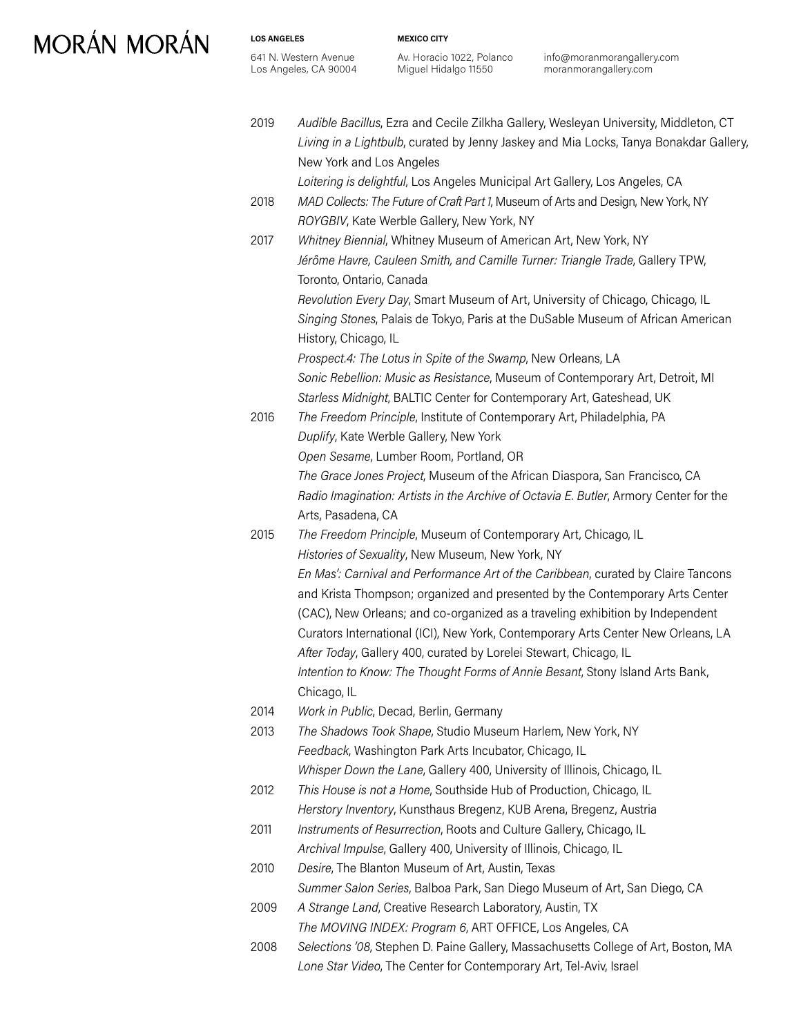**LOS ANGELES**

**MEXICO CITY**

Av. Horacio 1022, Polanco Miguel Hidalgo 11550

info@moranmorangallery.com moranmorangallery.com

| 2019 | Audible Bacillus, Ezra and Cecile Zilkha Gallery, Wesleyan University, Middleton, CT<br>Living in a Lightbulb, curated by Jenny Jaskey and Mia Locks, Tanya Bonakdar Gallery,<br>New York and Los Angeles      |
|------|----------------------------------------------------------------------------------------------------------------------------------------------------------------------------------------------------------------|
| 2018 | Loitering is delightful, Los Angeles Municipal Art Gallery, Los Angeles, CA<br>MAD Collects: The Future of Craft Part 1, Museum of Arts and Design, New York, NY<br>ROYGBIV, Kate Werble Gallery, New York, NY |
| 2017 | Whitney Biennial, Whitney Museum of American Art, New York, NY                                                                                                                                                 |
|      | Jérôme Havre, Cauleen Smith, and Camille Turner: Triangle Trade, Gallery TPW,<br>Toronto, Ontario, Canada                                                                                                      |
|      | Revolution Every Day, Smart Museum of Art, University of Chicago, Chicago, IL<br>Singing Stones, Palais de Tokyo, Paris at the DuSable Museum of African American                                              |
|      | History, Chicago, IL                                                                                                                                                                                           |
|      | Prospect.4: The Lotus in Spite of the Swamp, New Orleans, LA                                                                                                                                                   |
|      | Sonic Rebellion: Music as Resistance, Museum of Contemporary Art, Detroit, MI                                                                                                                                  |
|      | Starless Midnight, BALTIC Center for Contemporary Art, Gateshead, UK                                                                                                                                           |
| 2016 | The Freedom Principle, Institute of Contemporary Art, Philadelphia, PA                                                                                                                                         |
|      | Duplify, Kate Werble Gallery, New York                                                                                                                                                                         |
|      | Open Sesame, Lumber Room, Portland, OR                                                                                                                                                                         |
|      | The Grace Jones Project, Museum of the African Diaspora, San Francisco, CA                                                                                                                                     |
|      | Radio Imagination: Artists in the Archive of Octavia E. Butler, Armory Center for the                                                                                                                          |
|      | Arts, Pasadena, CA                                                                                                                                                                                             |
| 2015 | The Freedom Principle, Museum of Contemporary Art, Chicago, IL                                                                                                                                                 |
|      | Histories of Sexuality, New Museum, New York, NY                                                                                                                                                               |
|      | En Mas': Carnival and Performance Art of the Caribbean, curated by Claire Tancons                                                                                                                              |
|      | and Krista Thompson; organized and presented by the Contemporary Arts Center                                                                                                                                   |
|      | (CAC), New Orleans; and co-organized as a traveling exhibition by Independent                                                                                                                                  |
|      | Curators International (ICI), New York, Contemporary Arts Center New Orleans, LA                                                                                                                               |
|      | After Today, Gallery 400, curated by Lorelei Stewart, Chicago, IL                                                                                                                                              |
|      | Intention to Know: The Thought Forms of Annie Besant, Stony Island Arts Bank,                                                                                                                                  |
|      | Chicago, IL                                                                                                                                                                                                    |
| 2014 | Work in Public, Decad, Berlin, Germany                                                                                                                                                                         |
| 2013 | The Shadows Took Shape, Studio Museum Harlem, New York, NY                                                                                                                                                     |
|      | Feedback, Washington Park Arts Incubator, Chicago, IL                                                                                                                                                          |
|      | Whisper Down the Lane, Gallery 400, University of Illinois, Chicago, IL                                                                                                                                        |
| 2012 | This House is not a Home, Southside Hub of Production, Chicago, IL                                                                                                                                             |
|      | Herstory Inventory, Kunsthaus Bregenz, KUB Arena, Bregenz, Austria                                                                                                                                             |
| 2011 | Instruments of Resurrection, Roots and Culture Gallery, Chicago, IL                                                                                                                                            |
|      | Archival Impulse, Gallery 400, University of Illinois, Chicago, IL                                                                                                                                             |
| 2010 | Desire, The Blanton Museum of Art, Austin, Texas                                                                                                                                                               |
|      | Summer Salon Series, Balboa Park, San Diego Museum of Art, San Diego, CA                                                                                                                                       |
| 2009 | A Strange Land, Creative Research Laboratory, Austin, TX                                                                                                                                                       |
|      | The MOVING INDEX: Program 6, ART OFFICE, Los Angeles, CA                                                                                                                                                       |
| 2008 | Selections '08, Stephen D. Paine Gallery, Massachusetts College of Art, Boston, MA                                                                                                                             |
|      | Lone Star Video, The Center for Contemporary Art, Tel-Aviv, Israel                                                                                                                                             |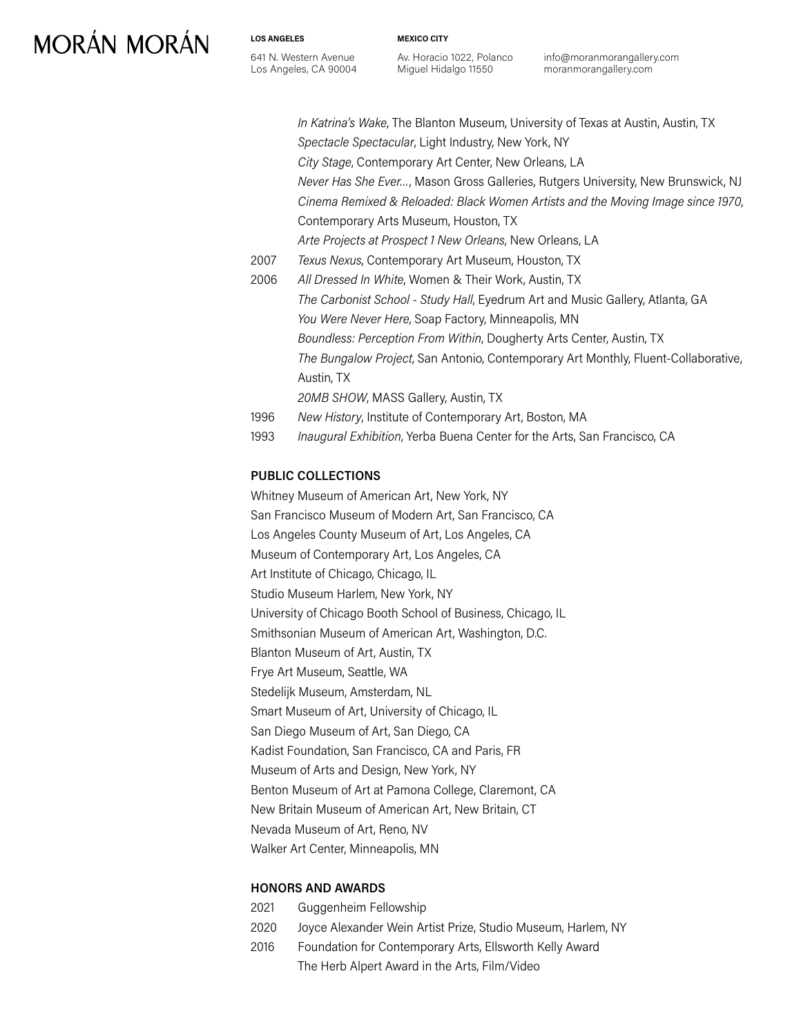**LOS ANGELES**

641 N. Western Avenue Los Angeles, CA 90004 **MEXICO CITY**

Av. Horacio 1022, Polanco Miguel Hidalgo 11550

info@moranmorangallery.com moranmorangallery.com

|      | In Katrina's Wake, The Blanton Museum, University of Texas at Austin, Austin, TX   |
|------|------------------------------------------------------------------------------------|
|      | Spectacle Spectacular, Light Industry, New York, NY                                |
|      | City Stage, Contemporary Art Center, New Orleans, LA                               |
|      | Never Has She Ever, Mason Gross Galleries, Rutgers University, New Brunswick, NJ   |
|      | Cinema Remixed & Reloaded: Black Women Artists and the Moving Image since 1970,    |
|      | Contemporary Arts Museum, Houston, TX                                              |
|      | Arte Projects at Prospect 1 New Orleans, New Orleans, LA                           |
| 2007 | Texus Nexus, Contemporary Art Museum, Houston, TX                                  |
| 2006 | All Dressed In White, Women & Their Work, Austin, TX                               |
|      | The Carbonist School - Study Hall, Eyedrum Art and Music Gallery, Atlanta, GA      |
|      | You Were Never Here, Soap Factory, Minneapolis, MN                                 |
|      | Boundless: Perception From Within, Dougherty Arts Center, Austin, TX               |
|      | The Bungalow Project, San Antonio, Contemporary Art Monthly, Fluent-Collaborative, |
|      | Austin, TX                                                                         |
|      | 20MB SHOW, MASS Gallery, Austin, TX                                                |
| 1996 | New History, Institute of Contemporary Art, Boston, MA                             |
|      |                                                                                    |

1993 *Inaugural Exhibition*, Yerba Buena Center for the Arts, San Francisco, CA

#### **PUBLIC COLLECTIONS**

Whitney Museum of American Art, New York, NY San Francisco Museum of Modern Art, San Francisco, CA Los Angeles County Museum of Art, Los Angeles, CA Museum of Contemporary Art, Los Angeles, CA Art Institute of Chicago, Chicago, IL Studio Museum Harlem, New York, NY University of Chicago Booth School of Business, Chicago, IL Smithsonian Museum of American Art, Washington, D.C. Blanton Museum of Art, Austin, TX Frye Art Museum, Seattle, WA Stedelijk Museum, Amsterdam, NL Smart Museum of Art, University of Chicago, IL San Diego Museum of Art, San Diego, CA Kadist Foundation, San Francisco, CA and Paris, FR Museum of Arts and Design, New York, NY Benton Museum of Art at Pamona College, Claremont, CA New Britain Museum of American Art, New Britain, CT Nevada Museum of Art, Reno, NV Walker Art Center, Minneapolis, MN

#### **HONORS AND AWARDS**

 Guggenheim Fellowship Joyce Alexander Wein Artist Prize, Studio Museum, Harlem, NY Foundation for Contemporary Arts, Ellsworth Kelly Award The Herb Alpert Award in the Arts, Film/Video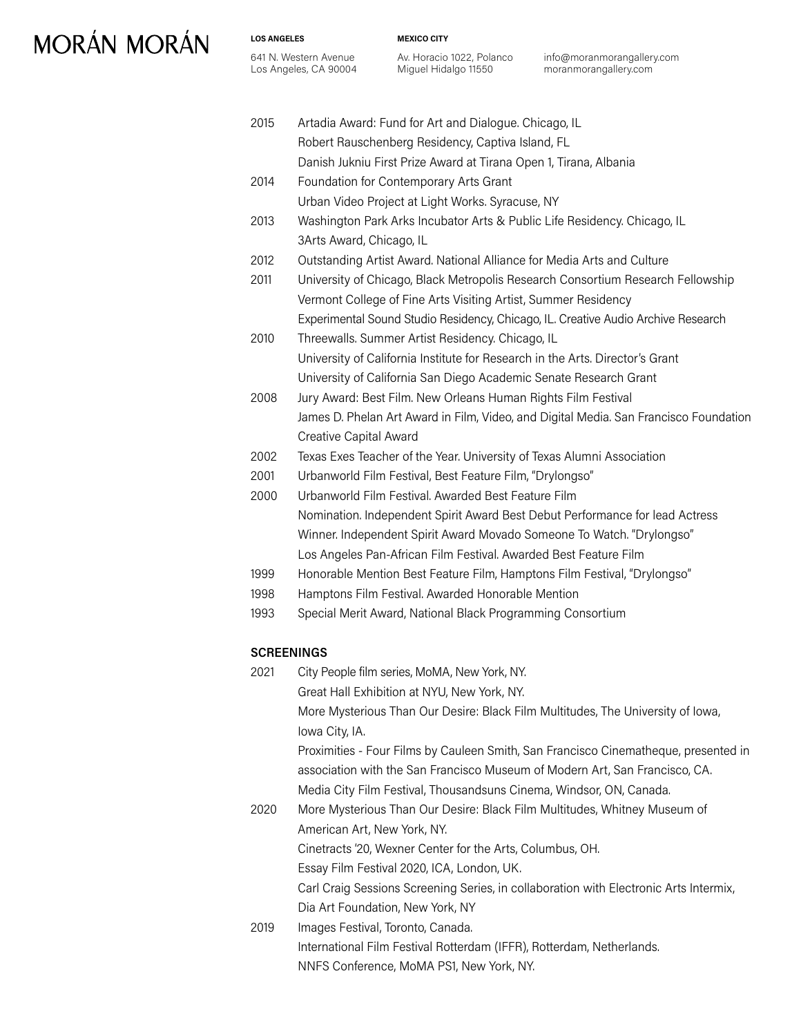**LOS ANGELES**

641 N. Western Avenue Los Angeles, CA 90004 **MEXICO CITY**

2015 Artadia Award: Fund for Art and Dialogue. Chicago, IL

Av. Horacio 1022, Polanco Miguel Hidalgo 11550

info@moranmorangallery.com moranmorangallery.com

|      | Robert Rauschenberg Residency, Captiva Island, FL                                     |
|------|---------------------------------------------------------------------------------------|
|      | Danish Jukniu First Prize Award at Tirana Open 1, Tirana, Albania                     |
| 2014 | Foundation for Contemporary Arts Grant                                                |
|      | Urban Video Project at Light Works. Syracuse, NY                                      |
| 2013 | Washington Park Arks Incubator Arts & Public Life Residency. Chicago, IL              |
|      | 3Arts Award, Chicago, IL                                                              |
| 2012 | Outstanding Artist Award. National Alliance for Media Arts and Culture                |
| 2011 | University of Chicago, Black Metropolis Research Consortium Research Fellowship       |
|      | Vermont College of Fine Arts Visiting Artist, Summer Residency                        |
|      | Experimental Sound Studio Residency, Chicago, IL. Creative Audio Archive Research     |
| 2010 | Threewalls. Summer Artist Residency. Chicago, IL                                      |
|      | University of California Institute for Research in the Arts. Director's Grant         |
|      | University of California San Diego Academic Senate Research Grant                     |
| 2008 | Jury Award: Best Film. New Orleans Human Rights Film Festival                         |
|      | James D. Phelan Art Award in Film, Video, and Digital Media. San Francisco Foundation |
|      | Creative Capital Award                                                                |
| 2002 | Texas Exes Teacher of the Year. University of Texas Alumni Association                |
| 2001 | Urbanworld Film Festival, Best Feature Film, "Drylongso"                              |
| 2000 | Urbanworld Film Festival, Awarded Best Feature Film                                   |
|      | Nomination. Independent Spirit Award Best Debut Performance for lead Actress          |
|      | Winner. Independent Spirit Award Movado Someone To Watch. "Drylongso"                 |
|      | Los Angeles Pan-African Film Festival. Awarded Best Feature Film                      |
| 1999 | Honorable Mention Best Feature Film, Hamptons Film Festival, "Drylongso"              |
| 1998 | Hamptons Film Festival. Awarded Honorable Mention                                     |
| 1993 | Special Merit Award, National Black Programming Consortium                            |
|      | <b>SCREENINGS</b>                                                                     |
| 2021 | City People film series, MoMA, New York, NY.                                          |
|      | Great Hall Exhibition at NYU, New York, NY.                                           |
|      | More Mysterious Than Our Desire: Black Film Multitudes, The University of Iowa,       |
|      | Iowa City, IA.                                                                        |
|      | Proximities - Four Films by Cauleen Smith, San Francisco Cinematheque, presented in   |
|      | association with the San Francisco Museum of Modern Art, San Francisco, CA.           |
|      | Media City Film Festival, Thousandsuns Cinema, Windsor, ON, Canada.                   |
| 2020 | More Mysterious Than Our Desire: Black Film Multitudes, Whitney Museum of             |
|      | American Art, New York, NY.                                                           |
|      | Cinetracts '20, Wexner Center for the Arts, Columbus, OH.                             |
|      | Essay Film Festival 2020, ICA, London, UK.                                            |
|      | Carl Craig Sessions Screening Series, in collaboration with Electronic Arts Intermix, |
|      | Dia Art Foundation, New York, NY                                                      |
| 2019 | Images Festival, Toronto, Canada.                                                     |
|      | International Film Festival Rotterdam (IFFR), Rotterdam, Netherlands.                 |
|      | NNFS Conference, MoMA PS1, New York, NY.                                              |
|      |                                                                                       |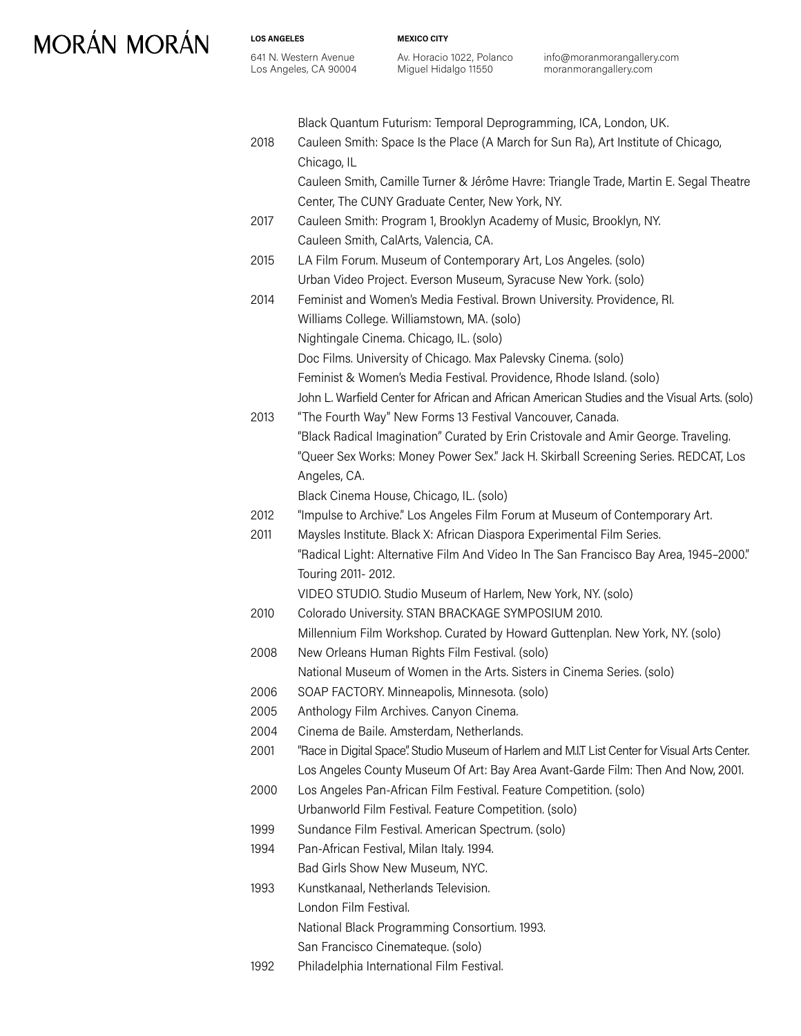**LOS ANGELES** 641 N. Western Avenue Los Angeles, CA 90004 **MEXICO CITY**

Av. Horacio 1022, Polanco Miguel Hidalgo 11550

info@moranmorangallery.com moranmorangallery.com

|      | Black Quantum Futurism: Temporal Deprogramming, ICA, London, UK.                               |
|------|------------------------------------------------------------------------------------------------|
| 2018 | Cauleen Smith: Space Is the Place (A March for Sun Ra), Art Institute of Chicago,              |
|      | Chicago, IL                                                                                    |
|      | Cauleen Smith, Camille Turner & Jérôme Havre: Triangle Trade, Martin E. Segal Theatre          |
|      | Center, The CUNY Graduate Center, New York, NY.                                                |
| 2017 | Cauleen Smith: Program 1, Brooklyn Academy of Music, Brooklyn, NY.                             |
|      | Cauleen Smith, CalArts, Valencia, CA.                                                          |
| 2015 | LA Film Forum. Museum of Contemporary Art, Los Angeles. (solo)                                 |
|      | Urban Video Project. Everson Museum, Syracuse New York. (solo)                                 |
| 2014 | Feminist and Women's Media Festival. Brown University. Providence, RI.                         |
|      | Williams College. Williamstown, MA. (solo)                                                     |
|      | Nightingale Cinema. Chicago, IL. (solo)                                                        |
|      | Doc Films. University of Chicago. Max Palevsky Cinema. (solo)                                  |
|      | Feminist & Women's Media Festival. Providence, Rhode Island. (solo)                            |
|      | John L. Warfield Center for African and African American Studies and the Visual Arts. (solo)   |
| 2013 | "The Fourth Way" New Forms 13 Festival Vancouver, Canada.                                      |
|      | "Black Radical Imagination" Curated by Erin Cristovale and Amir George. Traveling.             |
|      | "Queer Sex Works: Money Power Sex." Jack H. Skirball Screening Series. REDCAT, Los             |
|      | Angeles, CA.                                                                                   |
|      | Black Cinema House, Chicago, IL. (solo)                                                        |
| 2012 | "Impulse to Archive." Los Angeles Film Forum at Museum of Contemporary Art.                    |
| 2011 | Maysles Institute. Black X: African Diaspora Experimental Film Series.                         |
|      | "Radical Light: Alternative Film And Video In The San Francisco Bay Area, 1945-2000."          |
|      | Touring 2011-2012.                                                                             |
|      | VIDEO STUDIO. Studio Museum of Harlem, New York, NY. (solo)                                    |
| 2010 | Colorado University. STAN BRACKAGE SYMPOSIUM 2010.                                             |
|      | Millennium Film Workshop. Curated by Howard Guttenplan. New York, NY. (solo)                   |
| 2008 | New Orleans Human Rights Film Festival. (solo)                                                 |
|      | National Museum of Women in the Arts. Sisters in Cinema Series. (solo)                         |
| 2006 | SOAP FACTORY. Minneapolis, Minnesota. (solo)                                                   |
| 2005 | Anthology Film Archives. Canyon Cinema.                                                        |
| 2004 | Cinema de Baile. Amsterdam, Netherlands.                                                       |
| 2001 | "Race in Digital Space". Studio Museum of Harlem and M.I.T List Center for Visual Arts Center. |
|      | Los Angeles County Museum Of Art: Bay Area Avant-Garde Film: Then And Now, 2001.               |
| 2000 | Los Angeles Pan-African Film Festival. Feature Competition. (solo)                             |
|      | Urbanworld Film Festival. Feature Competition. (solo)                                          |
| 1999 | Sundance Film Festival. American Spectrum. (solo)                                              |
| 1994 | Pan-African Festival, Milan Italy. 1994.                                                       |
|      | Bad Girls Show New Museum, NYC.                                                                |
| 1993 | Kunstkanaal, Netherlands Television.                                                           |
|      | London Film Festival.                                                                          |
|      | National Black Programming Consortium. 1993.                                                   |
|      | San Francisco Cinemateque. (solo)                                                              |
| 1992 | Philadelphia International Film Festival.                                                      |
|      |                                                                                                |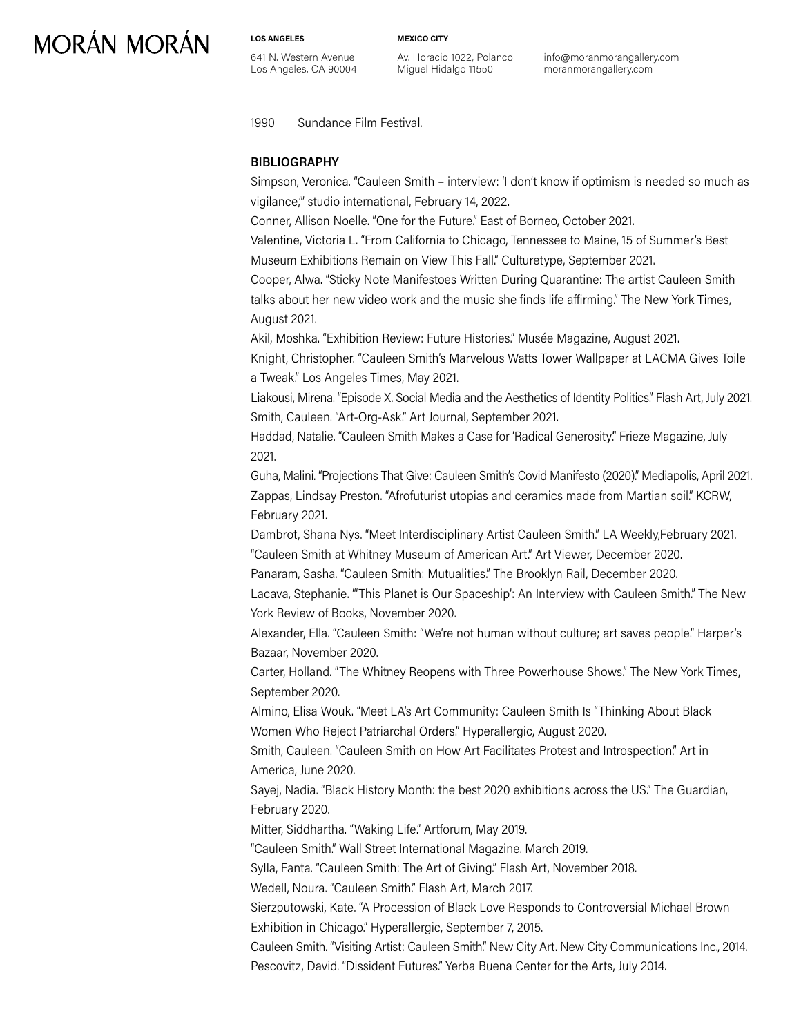**LOS ANGELES** 641 N. Western Avenue Los Angeles, CA 90004 **MEXICO CITY**

Av. Horacio 1022, Polanco Miguel Hidalgo 11550

info@moranmorangallery.com moranmorangallery.com

1990 Sundance Film Festival.

#### **BIBLIOGRAPHY**

Simpson, Veronica. "Cauleen Smith – interview: 'I don't know if optimism is needed so much as vigilance,'" studio international, February 14, 2022.

Conner, Allison Noelle. "One for the Future." East of Borneo, October 2021.

Valentine, Victoria L. "From California to Chicago, Tennessee to Maine, 15 of Summer's Best Museum Exhibitions Remain on View This Fall." Culturetype, September 2021.

Cooper, Alwa. "Sticky Note Manifestoes Written During Quarantine: The artist Cauleen Smith talks about her new video work and the music she finds life affirming." The New York Times, August 2021.

Akil, Moshka. "Exhibition Review: Future Histories." Musée Magazine, August 2021.

Knight, Christopher. "Cauleen Smith's Marvelous Watts Tower Wallpaper at LACMA Gives Toile a Tweak." Los Angeles Times, May 2021.

Liakousi, Mirena. "Episode X. Social Media and the Aesthetics of Identity Politics." Flash Art, July 2021. Smith, Cauleen. "Art-Org-Ask." Art Journal, September 2021.

Haddad, Natalie. "Cauleen Smith Makes a Case for 'Radical Generosity'." Frieze Magazine, July 2021.

Guha, Malini. "Projections That Give: Cauleen Smith's Covid Manifesto (2020)." Mediapolis, April 2021. Zappas, Lindsay Preston. "Afrofuturist utopias and ceramics made from Martian soil." KCRW, February 2021.

Dambrot, Shana Nys. "Meet Interdisciplinary Artist Cauleen Smith." LA Weekly,February 2021. "Cauleen Smith at Whitney Museum of American Art." Art Viewer, December 2020.

Panaram, Sasha. "Cauleen Smith: Mutualities." The Brooklyn Rail, December 2020.

Lacava, Stephanie. "'This Planet is Our Spaceship': An Interview with Cauleen Smith." The New York Review of Books, November 2020.

Alexander, Ella. "Cauleen Smith: "We're not human without culture; art saves people." Harper's Bazaar, November 2020.

Carter, Holland. "The Whitney Reopens with Three Powerhouse Shows." The New York Times, September 2020.

Almino, Elisa Wouk. "Meet LA's Art Community: Cauleen Smith Is "Thinking About Black Women Who Reject Patriarchal Orders." Hyperallergic, August 2020.

Smith, Cauleen. "Cauleen Smith on How Art Facilitates Protest and Introspection." Art in America, June 2020.

Sayej, Nadia. "Black History Month: the best 2020 exhibitions across the US." The Guardian, February 2020.

Mitter, Siddhartha. "Waking Life." Artforum, May 2019.

"Cauleen Smith." Wall Street International Magazine. March 2019.

Sylla, Fanta. "Cauleen Smith: The Art of Giving." Flash Art, November 2018.

Wedell, Noura. "Cauleen Smith." Flash Art, March 2017.

Sierzputowski, Kate. "A Procession of Black Love Responds to Controversial Michael Brown Exhibition in Chicago." Hyperallergic, September 7, 2015.

Cauleen Smith. "Visiting Artist: Cauleen Smith." New City Art. New City Communications Inc., 2014. Pescovitz, David. "Dissident Futures." Yerba Buena Center for the Arts, July 2014.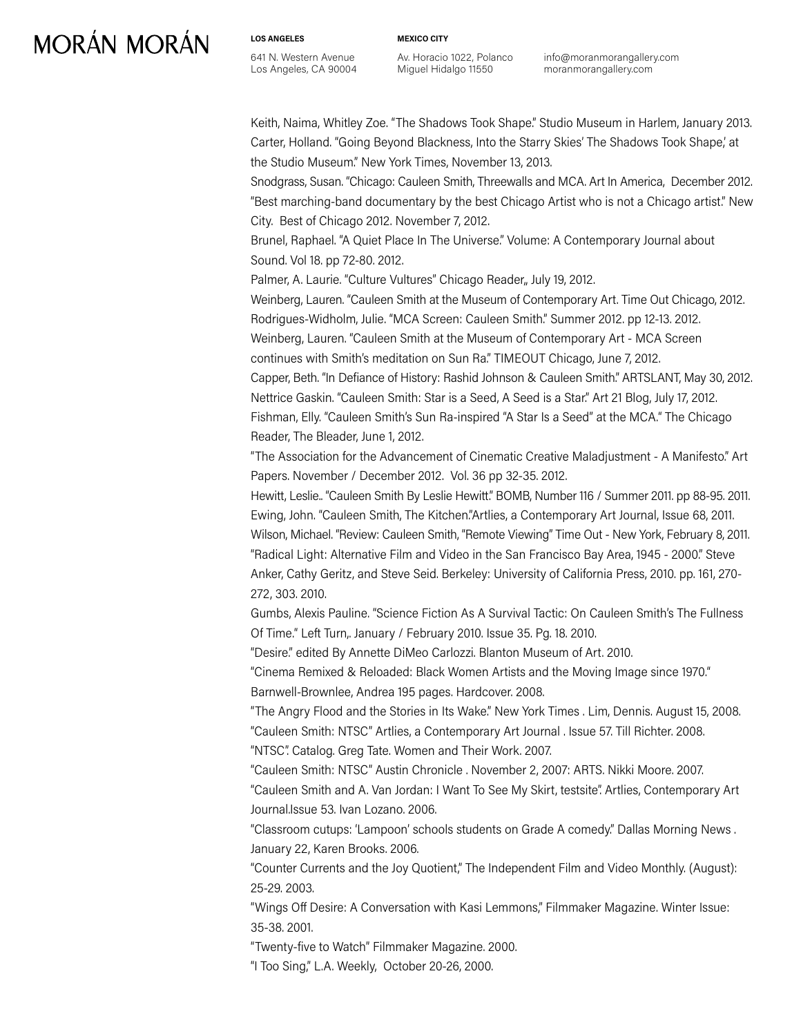**LOS ANGELES** 641 N. Western Avenue Los Angeles, CA 90004 **MEXICO CITY**

Av. Horacio 1022, Polanco Miguel Hidalgo 11550

info@moranmorangallery.com moranmorangallery.com

Keith, Naima, Whitley Zoe. "The Shadows Took Shape." Studio Museum in Harlem, January 2013. Carter, Holland. "Going Beyond Blackness, Into the Starry Skies' The Shadows Took Shape,' at the Studio Museum." New York Times, November 13, 2013.

Snodgrass, Susan. "Chicago: Cauleen Smith, Threewalls and MCA. Art In America, December 2012. "Best marching-band documentary by the best Chicago Artist who is not a Chicago artist." New City. Best of Chicago 2012. November 7, 2012.

Brunel, Raphael. "A Quiet Place In The Universe." Volume: A Contemporary Journal about Sound. Vol 18. pp 72-80. 2012.

Palmer, A. Laurie. "Culture Vultures" Chicago Reader,, July 19, 2012.

Weinberg, Lauren. "Cauleen Smith at the Museum of Contemporary Art. Time Out Chicago, 2012. Rodrigues-Widholm, Julie. "MCA Screen: Cauleen Smith." Summer 2012. pp 12-13. 2012. Weinberg, Lauren. "Cauleen Smith at the Museum of Contemporary Art - MCA Screen continues with Smith's meditation on Sun Ra." TIMEOUT Chicago, June 7, 2012.

Capper, Beth. "In Defiance of History: Rashid Johnson & Cauleen Smith." ARTSLANT, May 30, 2012. Nettrice Gaskin. "Cauleen Smith: Star is a Seed, A Seed is a Star." Art 21 Blog, July 17, 2012. Fishman, Elly. "Cauleen Smith's Sun Ra-inspired "A Star Is a Seed" at the MCA." The Chicago Reader, The Bleader, June 1, 2012.

"The Association for the Advancement of Cinematic Creative Maladjustment - A Manifesto." Art Papers. November / December 2012. Vol. 36 pp 32-35. 2012.

Hewitt, Leslie.. "Cauleen Smith By Leslie Hewitt." BOMB, Number 116 / Summer 2011. pp 88-95. 2011. Ewing, John. "Cauleen Smith, The Kitchen."Artlies, a Contemporary Art Journal, Issue 68, 2011. Wilson, Michael. "Review: Cauleen Smith, "Remote Viewing" Time Out - New York, February 8, 2011. "Radical Light: Alternative Film and Video in the San Francisco Bay Area, 1945 - 2000." Steve Anker, Cathy Geritz, and Steve Seid. Berkeley: University of California Press, 2010. pp. 161, 270- 272, 303. 2010.

Gumbs, Alexis Pauline. "Science Fiction As A Survival Tactic: On Cauleen Smith's The Fullness Of Time." Left Turn,. January / February 2010. Issue 35. Pg. 18. 2010.

"Desire." edited By Annette DiMeo Carlozzi. Blanton Museum of Art. 2010.

"Cinema Remixed & Reloaded: Black Women Artists and the Moving Image since 1970." Barnwell-Brownlee, Andrea 195 pages. Hardcover. 2008.

"The Angry Flood and the Stories in Its Wake." New York Times . Lim, Dennis. August 15, 2008. "Cauleen Smith: NTSC" Artlies, a Contemporary Art Journal . Issue 57. Till Richter. 2008. "NTSC". Catalog. Greg Tate. Women and Their Work. 2007.

"Cauleen Smith: NTSC" Austin Chronicle . November 2, 2007: ARTS. Nikki Moore. 2007.

"Cauleen Smith and A. Van Jordan: I Want To See My Skirt, testsite". Artlies, Contemporary Art Journal.Issue 53. Ivan Lozano. 2006.

"Classroom cutups: 'Lampoon' schools students on Grade A comedy." Dallas Morning News . January 22, Karen Brooks. 2006.

"Counter Currents and the Joy Quotient," The Independent Film and Video Monthly. (August): 25-29. 2003.

"Wings Off Desire: A Conversation with Kasi Lemmons," Filmmaker Magazine. Winter Issue: 35-38. 2001.

"Twenty-five to Watch" Filmmaker Magazine. 2000.

"I Too Sing," L.A. Weekly, October 20-26, 2000.